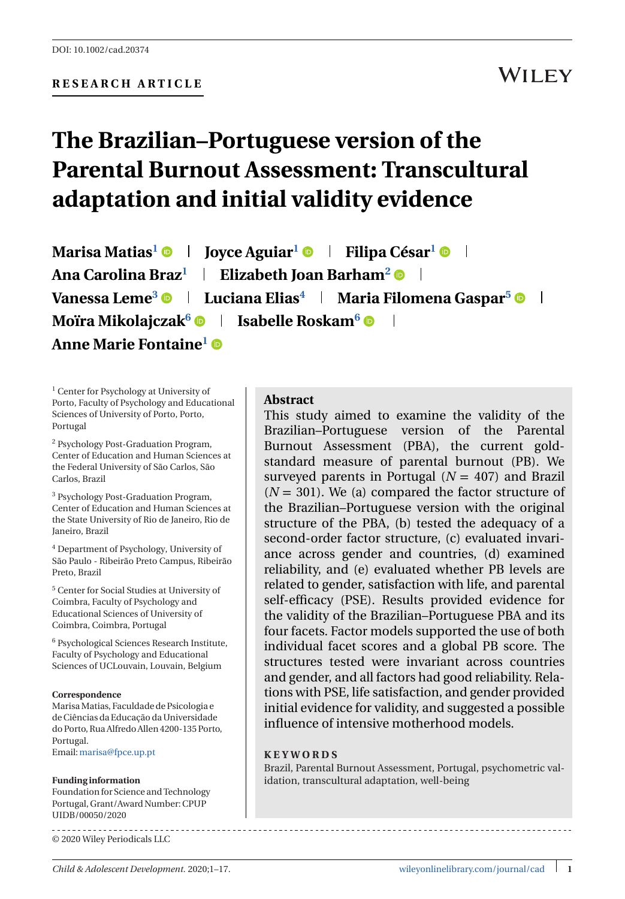## **WILEY**

# **The Brazilian–Portuguese version of the Parental Burnout Assessment: Transcultural adaptation and initial validity evidence**

**Marisa Matias<sup>1</sup> • Joyce Aguiar<sup>1</sup> • Filipa César<sup>1</sup> • I Ana Carolina Braz<sup>1</sup> Elizabeth Joan Barham2 Vanessa Leme<sup>3</sup>**  $\bullet$  **| Luciana Elias<sup>4</sup> | Maria Filomena Gaspar<sup>5</sup>**  $\bullet$  **| Moïra Mikolajczak<sup>6</sup> (Degrad) Isabelle Roskam<sup>6</sup> (Degrad) Isabelle Roskam<sup>6</sup> Anne Marie Fontaine1**

<sup>1</sup> Center for Psychology at University of Porto, Faculty of Psychology and Educational Sciences of University of Porto, Porto, Portugal

<sup>2</sup> Psychology Post-Graduation Program, Center of Education and Human Sciences at the Federal University of São Carlos, São Carlos, Brazil

<sup>3</sup> Psychology Post-Graduation Program, Center of Education and Human Sciences at the State University of Rio de Janeiro, Rio de Janeiro, Brazil

<sup>4</sup> Department of Psychology, University of São Paulo - Ribeirão Preto Campus, Ribeirão Preto, Brazil

<sup>5</sup> Center for Social Studies at University of Coimbra, Faculty of Psychology and Educational Sciences of University of Coimbra, Coimbra, Portugal

<sup>6</sup> Psychological Sciences Research Institute, Faculty of Psychology and Educational Sciences of UCLouvain, Louvain, Belgium

#### **Correspondence**

MarisaMatias, Faculdade de Psicologia e de Ciências da Educação da Universidade do Porto, Rua Alfredo Allen 4200-135 Porto, Portugal.

Email:[marisa@fpce.up.pt](mailto:marisa@fpce.up.pt)

#### **Funding information**

Foundation for Science and Technology Portugal, Grant/Award Number: CPUP UIDB/00050/2020

© 2020 Wiley Periodicals LLC

#### **Abstract**

This study aimed to examine the validity of the Brazilian–Portuguese version of the Parental Burnout Assessment (PBA), the current goldstandard measure of parental burnout (PB). We surveyed parents in Portugal  $(N = 407)$  and Brazil  $(N = 301)$ . We (a) compared the factor structure of the Brazilian–Portuguese version with the original structure of the PBA, (b) tested the adequacy of a second-order factor structure, (c) evaluated invariance across gender and countries, (d) examined reliability, and (e) evaluated whether PB levels are related to gender, satisfaction with life, and parental self-efficacy (PSE). Results provided evidence for the validity of the Brazilian–Portuguese PBA and its four facets. Factor models supported the use of both individual facet scores and a global PB score. The structures tested were invariant across countries and gender, and all factors had good reliability. Relations with PSE, life satisfaction, and gender provided initial evidence for validity, and suggested a possible influence of intensive motherhood models.

#### **KEYWORDS**

Brazil, Parental Burnout Assessment, Portugal, psychometric validation, transcultural adaptation, well-being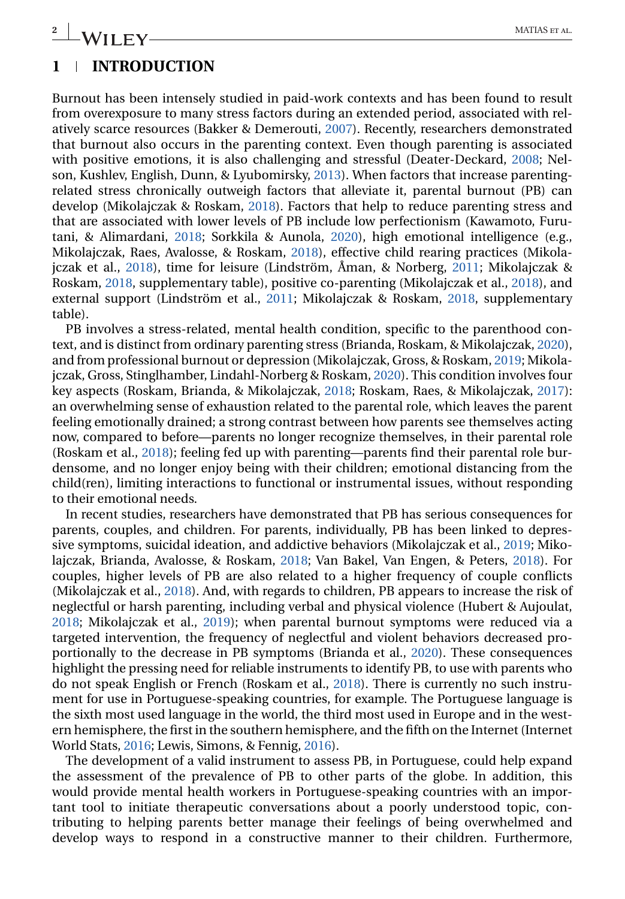# **2** MATIAS ET AL.

### **1 INTRODUCTION**

Burnout has been intensely studied in paid-work contexts and has been found to result from overexposure to many stress factors during an extended period, associated with relatively scarce resources (Bakker & Demerouti, [2007\)](#page-13-0). Recently, researchers demonstrated that burnout also occurs in the parenting context. Even though parenting is associated with positive emotions, it is also challenging and stressful (Deater-Deckard, [2008;](#page-13-0) Nelson, Kushlev, English, Dunn, & Lyubomirsky, [2013\)](#page-15-0). When factors that increase parentingrelated stress chronically outweigh factors that alleviate it, parental burnout (PB) can develop (Mikolajczak & Roskam, [2018\)](#page-14-0). Factors that help to reduce parenting stress and that are associated with lower levels of PB include low perfectionism (Kawamoto, Furutani, & Alimardani, [2018;](#page-14-0) Sorkkila & Aunola, [2020\)](#page-15-0), high emotional intelligence (e.g., Mikolajczak, Raes, Avalosse, & Roskam, [2018\)](#page-14-0), effective child rearing practices (Mikolajczak et al., [2018\)](#page-14-0), time for leisure (Lindström, Åman, & Norberg, [2011;](#page-14-0) Mikolajczak & Roskam, [2018,](#page-14-0) supplementary table), positive co-parenting (Mikolajczak et al., [2018\)](#page-14-0), and external support (Lindström et al., [2011;](#page-14-0) Mikolajczak & Roskam, [2018,](#page-14-0) supplementary table).

PB involves a stress-related, mental health condition, specific to the parenthood context, and is distinct from ordinary parenting stress (Brianda, Roskam, & Mikolajczak, [2020\)](#page-13-0), and from professional burnout or depression (Mikolajczak, Gross, & Roskam, [2019;](#page-14-0) Mikolajczak, Gross, Stinglhamber, Lindahl-Norberg & Roskam, [2020\)](#page-14-0). This condition involves four key aspects (Roskam, Brianda, & Mikolajczak, [2018;](#page-15-0) Roskam, Raes, & Mikolajczak, [2017\)](#page-15-0): an overwhelming sense of exhaustion related to the parental role, which leaves the parent feeling emotionally drained; a strong contrast between how parents see themselves acting now, compared to before—parents no longer recognize themselves, in their parental role (Roskam et al., [2018\)](#page-15-0); feeling fed up with parenting—parents find their parental role burdensome, and no longer enjoy being with their children; emotional distancing from the child(ren), limiting interactions to functional or instrumental issues, without responding to their emotional needs.

In recent studies, researchers have demonstrated that PB has serious consequences for parents, couples, and children. For parents, individually, PB has been linked to depressive symptoms, suicidal ideation, and addictive behaviors (Mikolajczak et al., [2019;](#page-14-0) Mikolajczak, Brianda, Avalosse, & Roskam, [2018;](#page-14-0) Van Bakel, Van Engen, & Peters, [2018\)](#page-15-0). For couples, higher levels of PB are also related to a higher frequency of couple conflicts (Mikolajczak et al., [2018\)](#page-14-0). And, with regards to children, PB appears to increase the risk of neglectful or harsh parenting, including verbal and physical violence (Hubert & Aujoulat, [2018;](#page-14-0) Mikolajczak et al., [2019\)](#page-14-0); when parental burnout symptoms were reduced via a targeted intervention, the frequency of neglectful and violent behaviors decreased proportionally to the decrease in PB symptoms (Brianda et al., [2020\)](#page-13-0). These consequences highlight the pressing need for reliable instruments to identify PB, to use with parents who do not speak English or French (Roskam et al., [2018\)](#page-15-0). There is currently no such instrument for use in Portuguese-speaking countries, for example. The Portuguese language is the sixth most used language in the world, the third most used in Europe and in the western hemisphere, the first in the southern hemisphere, and the fifth on the Internet (Internet World Stats, [2016;](#page-14-0) Lewis, Simons, & Fennig, [2016\)](#page-14-0).

The development of a valid instrument to assess PB, in Portuguese, could help expand the assessment of the prevalence of PB to other parts of the globe. In addition, this would provide mental health workers in Portuguese-speaking countries with an important tool to initiate therapeutic conversations about a poorly understood topic, contributing to helping parents better manage their feelings of being overwhelmed and develop ways to respond in a constructive manner to their children. Furthermore,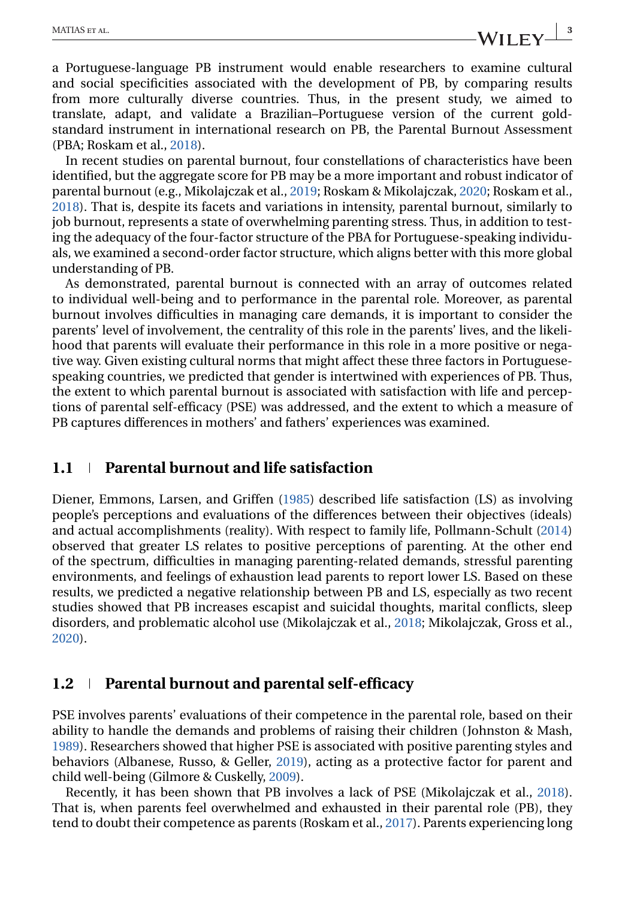a Portuguese-language PB instrument would enable researchers to examine cultural and social specificities associated with the development of PB, by comparing results from more culturally diverse countries. Thus, in the present study, we aimed to translate, adapt, and validate a Brazilian–Portuguese version of the current goldstandard instrument in international research on PB, the Parental Burnout Assessment (PBA; Roskam et al., [2018\)](#page-15-0).

In recent studies on parental burnout, four constellations of characteristics have been identified, but the aggregate score for PB may be a more important and robust indicator of parental burnout (e.g., Mikolajczak et al., [2019;](#page-14-0) Roskam & Mikolajczak, [2020;](#page-15-0) Roskam et al., [2018\)](#page-15-0). That is, despite its facets and variations in intensity, parental burnout, similarly to job burnout, represents a state of overwhelming parenting stress. Thus, in addition to testing the adequacy of the four-factor structure of the PBA for Portuguese-speaking individuals, we examined a second-order factor structure, which aligns better with this more global understanding of PB.

As demonstrated, parental burnout is connected with an array of outcomes related to individual well-being and to performance in the parental role. Moreover, as parental burnout involves difficulties in managing care demands, it is important to consider the parents' level of involvement, the centrality of this role in the parents' lives, and the likelihood that parents will evaluate their performance in this role in a more positive or negative way. Given existing cultural norms that might affect these three factors in Portuguesespeaking countries, we predicted that gender is intertwined with experiences of PB. Thus, the extent to which parental burnout is associated with satisfaction with life and perceptions of parental self-efficacy (PSE) was addressed, and the extent to which a measure of PB captures differences in mothers' and fathers' experiences was examined.

### **1.1 Parental burnout and life satisfaction**

Diener, Emmons, Larsen, and Griffen [\(1985\)](#page-13-0) described life satisfaction (LS) as involving people's perceptions and evaluations of the differences between their objectives (ideals) and actual accomplishments (reality). With respect to family life, Pollmann-Schult [\(2014\)](#page-15-0) observed that greater LS relates to positive perceptions of parenting. At the other end of the spectrum, difficulties in managing parenting-related demands, stressful parenting environments, and feelings of exhaustion lead parents to report lower LS. Based on these results, we predicted a negative relationship between PB and LS, especially as two recent studies showed that PB increases escapist and suicidal thoughts, marital conflicts, sleep disorders, and problematic alcohol use (Mikolajczak et al., [2018;](#page-14-0) Mikolajczak, Gross et al., [2020\)](#page-14-0).

#### **1.2 Parental burnout and parental self-efficacy**

PSE involves parents' evaluations of their competence in the parental role, based on their ability to handle the demands and problems of raising their children (Johnston & Mash, [1989\)](#page-14-0). Researchers showed that higher PSE is associated with positive parenting styles and behaviors (Albanese, Russo, & Geller, [2019\)](#page-13-0), acting as a protective factor for parent and child well-being (Gilmore & Cuskelly, [2009\)](#page-14-0).

Recently, it has been shown that PB involves a lack of PSE (Mikolajczak et al., [2018\)](#page-14-0). That is, when parents feel overwhelmed and exhausted in their parental role (PB), they tend to doubt their competence as parents (Roskam et al., [2017\)](#page-15-0). Parents experiencing long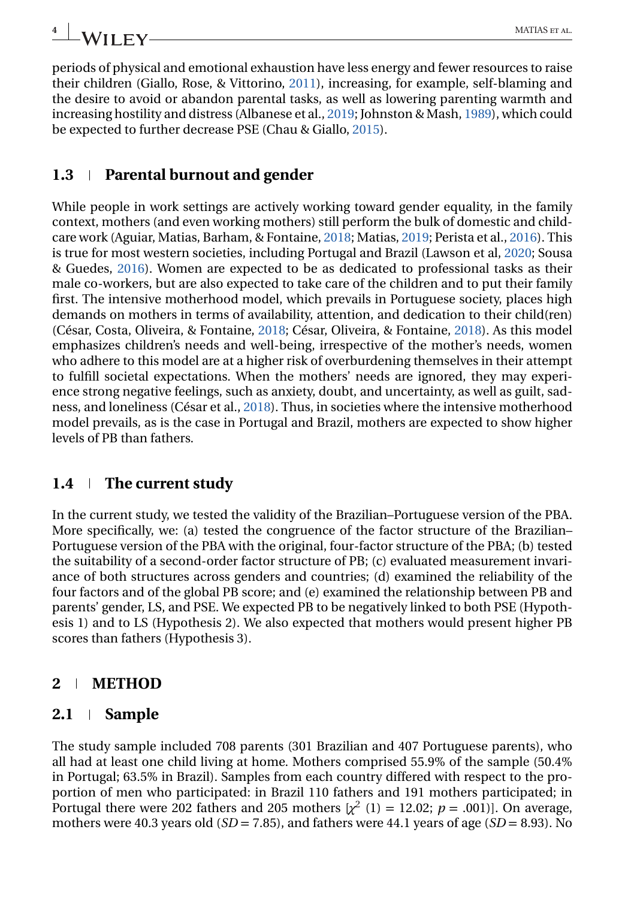periods of physical and emotional exhaustion have less energy and fewer resources to raise their children (Giallo, Rose, & Vittorino, [2011\)](#page-14-0), increasing, for example, self-blaming and the desire to avoid or abandon parental tasks, as well as lowering parenting warmth and increasing hostility and distress (Albanese et al., [2019;](#page-13-0) Johnston & Mash, [1989\)](#page-14-0), which could be expected to further decrease PSE (Chau & Giallo, [2015\)](#page-13-0).

#### **1.3 Parental burnout and gender**

While people in work settings are actively working toward gender equality, in the family context, mothers (and even working mothers) still perform the bulk of domestic and childcare work (Aguiar, Matias, Barham, & Fontaine, [2018;](#page-13-0) Matias, [2019;](#page-14-0) Perista et al., [2016\)](#page-15-0). This is true for most western societies, including Portugal and Brazil (Lawson et al, [2020;](#page-14-0) Sousa & Guedes, [2016\)](#page-15-0). Women are expected to be as dedicated to professional tasks as their male co-workers, but are also expected to take care of the children and to put their family first. The intensive motherhood model, which prevails in Portuguese society, places high demands on mothers in terms of availability, attention, and dedication to their child(ren) (César, Costa, Oliveira, & Fontaine, [2018;](#page-13-0) César, Oliveira, & Fontaine, [2018\)](#page-13-0). As this model emphasizes children's needs and well-being, irrespective of the mother's needs, women who adhere to this model are at a higher risk of overburdening themselves in their attempt to fulfill societal expectations. When the mothers' needs are ignored, they may experience strong negative feelings, such as anxiety, doubt, and uncertainty, as well as guilt, sadness, and loneliness (César et al., [2018\)](#page-13-0). Thus, in societies where the intensive motherhood model prevails, as is the case in Portugal and Brazil, mothers are expected to show higher levels of PB than fathers.

#### **1.4 The current study**

In the current study, we tested the validity of the Brazilian–Portuguese version of the PBA. More specifically, we: (a) tested the congruence of the factor structure of the Brazilian– Portuguese version of the PBA with the original, four-factor structure of the PBA; (b) tested the suitability of a second-order factor structure of PB; (c) evaluated measurement invariance of both structures across genders and countries; (d) examined the reliability of the four factors and of the global PB score; and (e) examined the relationship between PB and parents' gender, LS, and PSE. We expected PB to be negatively linked to both PSE (Hypothesis 1) and to LS (Hypothesis 2). We also expected that mothers would present higher PB scores than fathers (Hypothesis 3).

#### **2 METHOD**

#### **2.1 Sample**

The study sample included 708 parents (301 Brazilian and 407 Portuguese parents), who all had at least one child living at home. Mothers comprised 55.9% of the sample (50.4% in Portugal; 63.5% in Brazil). Samples from each country differed with respect to the proportion of men who participated: in Brazil 110 fathers and 191 mothers participated; in Portugal there were 202 fathers and 205 mothers  $\chi^2$  (1) = 12.02; *p* = .001). On average, mothers were 40.3 years old  $(SD = 7.85)$ , and fathers were 44.1 years of age  $(SD = 8.93)$ . No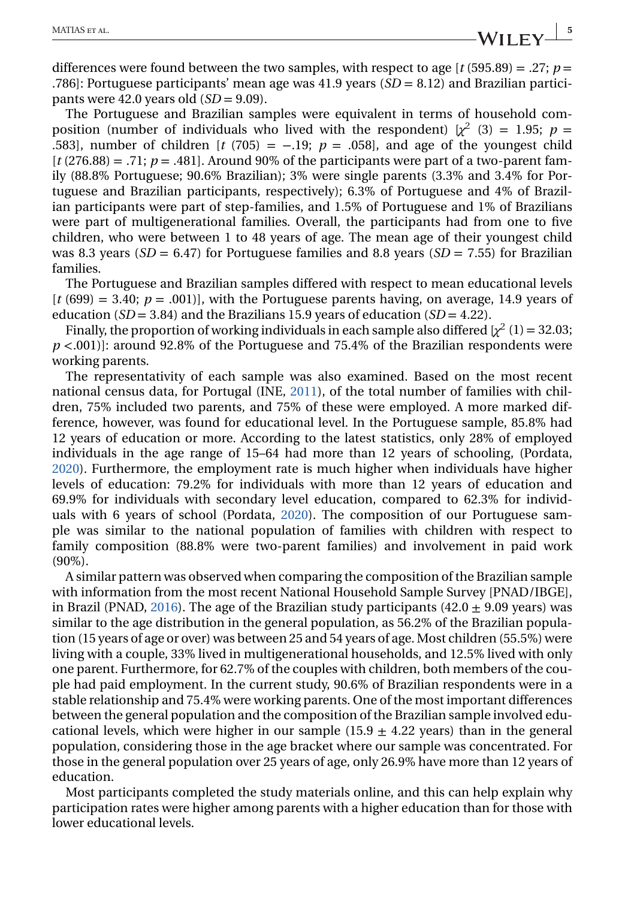MATIAS ET AL. **5**<sup>5</sup>

differences were found between the two samples, with respect to age  $\left[t\left(595.89\right)\right]=.27$ ;  $p=$ .786]: Portuguese participants' mean age was 41.9 years (*SD* = 8.12) and Brazilian participants were 42.0 years old (*SD* = 9.09).

The Portuguese and Brazilian samples were equivalent in terms of household composition (number of individuals who lived with the respondent)  $[\chi^2(3)] = 1.95$ ;  $p =$ .583], number of children [*t* (705) = −.19; *p* = .058], and age of the youngest child [*t* (276.88) = .71; *p* = .481]. Around 90% of the participants were part of a two-parent family (88.8% Portuguese; 90.6% Brazilian); 3% were single parents (3.3% and 3.4% for Portuguese and Brazilian participants, respectively); 6.3% of Portuguese and 4% of Brazilian participants were part of step-families, and 1.5% of Portuguese and 1% of Brazilians were part of multigenerational families. Overall, the participants had from one to five children, who were between 1 to 48 years of age. The mean age of their youngest child was 8.3 years ( $SD = 6.47$ ) for Portuguese families and 8.8 years ( $SD = 7.55$ ) for Brazilian families.

The Portuguese and Brazilian samples differed with respect to mean educational levels  $[t(699) = 3.40; p = .001]$ , with the Portuguese parents having, on average, 14.9 years of education  $(SD = 3.84)$  and the Brazilians 15.9 years of education  $(SD = 4.22)$ .

Finally, the proportion of working individuals in each sample also differed  $[\chi^2(1) = 32.03;$ *p* <.001)]: around 92.8% of the Portuguese and 75.4% of the Brazilian respondents were working parents.

The representativity of each sample was also examined. Based on the most recent national census data, for Portugal (INE, [2011\)](#page-14-0), of the total number of families with children, 75% included two parents, and 75% of these were employed. A more marked difference, however, was found for educational level. In the Portuguese sample, 85.8% had 12 years of education or more. According to the latest statistics, only 28% of employed individuals in the age range of 15–64 had more than 12 years of schooling, (Pordata, [2020\)](#page-15-0). Furthermore, the employment rate is much higher when individuals have higher levels of education: 79.2% for individuals with more than 12 years of education and 69.9% for individuals with secondary level education, compared to 62.3% for individuals with 6 years of school (Pordata, [2020\)](#page-15-0). The composition of our Portuguese sample was similar to the national population of families with children with respect to family composition (88.8% were two-parent families) and involvement in paid work (90%).

A similar pattern was observed when comparing the composition of the Brazilian sample with information from the most recent National Household Sample Survey [PNAD/IBGE], in Brazil (PNAD, [2016\)](#page-15-0). The age of the Brazilian study participants  $(42.0 \pm 9.09 \text{ years})$  was similar to the age distribution in the general population, as 56.2% of the Brazilian population (15 years of age or over) was between 25 and 54 years of age. Most children (55.5%) were living with a couple, 33% lived in multigenerational households, and 12.5% lived with only one parent. Furthermore, for 62.7% of the couples with children, both members of the couple had paid employment. In the current study, 90.6% of Brazilian respondents were in a stable relationship and 75.4% were working parents. One of the most important differences between the general population and the composition of the Brazilian sample involved educational levels, which were higher in our sample  $(15.9 \pm 4.22 \text{ years})$  than in the general population, considering those in the age bracket where our sample was concentrated. For those in the general population over 25 years of age, only 26.9% have more than 12 years of education.

Most participants completed the study materials online, and this can help explain why participation rates were higher among parents with a higher education than for those with lower educational levels.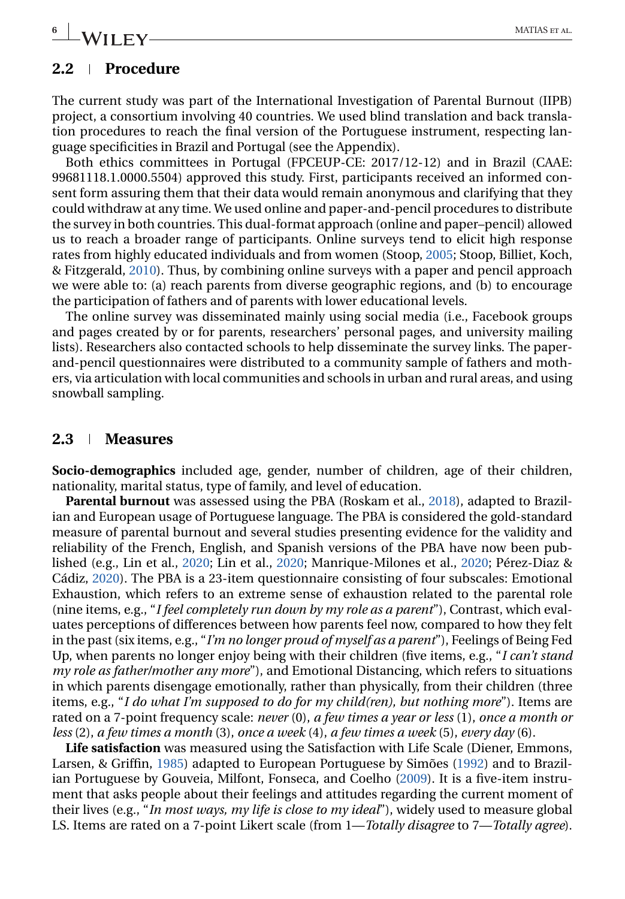# **6** MATIAS ET AL.

### **2.2 Procedure**

The current study was part of the International Investigation of Parental Burnout (IIPB) project, a consortium involving 40 countries. We used blind translation and back translation procedures to reach the final version of the Portuguese instrument, respecting language specificities in Brazil and Portugal (see the Appendix).

Both ethics committees in Portugal (FPCEUP-CE: 2017/12-12) and in Brazil (CAAE: 99681118.1.0000.5504) approved this study. First, participants received an informed consent form assuring them that their data would remain anonymous and clarifying that they could withdraw at any time. We used online and paper-and-pencil procedures to distribute the survey in both countries. This dual-format approach (online and paper–pencil) allowed us to reach a broader range of participants. Online surveys tend to elicit high response rates from highly educated individuals and from women (Stoop, [2005;](#page-15-0) Stoop, Billiet, Koch, & Fitzgerald, [2010\)](#page-15-0). Thus, by combining online surveys with a paper and pencil approach we were able to: (a) reach parents from diverse geographic regions, and (b) to encourage the participation of fathers and of parents with lower educational levels.

The online survey was disseminated mainly using social media (i.e., Facebook groups and pages created by or for parents, researchers' personal pages, and university mailing lists). Researchers also contacted schools to help disseminate the survey links. The paperand-pencil questionnaires were distributed to a community sample of fathers and mothers, via articulation with local communities and schools in urban and rural areas, and using snowball sampling.

#### **2.3 Measures**

**Socio-demographics** included age, gender, number of children, age of their children, nationality, marital status, type of family, and level of education.

**Parental burnout** was assessed using the PBA (Roskam et al., [2018\)](#page-15-0), adapted to Brazilian and European usage of Portuguese language. The PBA is considered the gold-standard measure of parental burnout and several studies presenting evidence for the validity and reliability of the French, English, and Spanish versions of the PBA have now been published (e.g., Lin et al., [2020;](#page-14-0) Lin et al., [2020;](#page-14-0) Manrique-Milones et al., [2020;](#page-14-0) Pérez-Diaz & Cádiz, [2020\)](#page-15-0). The PBA is a 23-item questionnaire consisting of four subscales: Emotional Exhaustion, which refers to an extreme sense of exhaustion related to the parental role (nine items, e.g., "*I feel completely run down by my role as a parent*"), Contrast, which evaluates perceptions of differences between how parents feel now, compared to how they felt in the past (six items, e.g., "*I'm no longer proud of myself as a parent*"), Feelings of Being Fed Up, when parents no longer enjoy being with their children (five items, e.g., "*I can't stand my role as father/mother any more*"), and Emotional Distancing, which refers to situations in which parents disengage emotionally, rather than physically, from their children (three items, e.g., "*I do what I'm supposed to do for my child(ren), but nothing more*"). Items are rated on a 7-point frequency scale: *never* (0), *a few times a year or less* (1), *once a month or less* (2), *a few times a month* (3), *once a week* (4), *a few times a week* (5), *every day* (6).

**Life satisfaction** was measured using the Satisfaction with Life Scale (Diener, Emmons, Larsen, & Griffin, [1985\)](#page-13-0) adapted to European Portuguese by Simões [\(1992\)](#page-15-0) and to Brazilian Portuguese by Gouveia, Milfont, Fonseca, and Coelho [\(2009\)](#page-14-0). It is a five-item instrument that asks people about their feelings and attitudes regarding the current moment of their lives (e.g., "*In most ways, my life is close to my ideal*"), widely used to measure global LS. Items are rated on a 7-point Likert scale (from 1—*Totally disagree* to 7—*Totally agree*).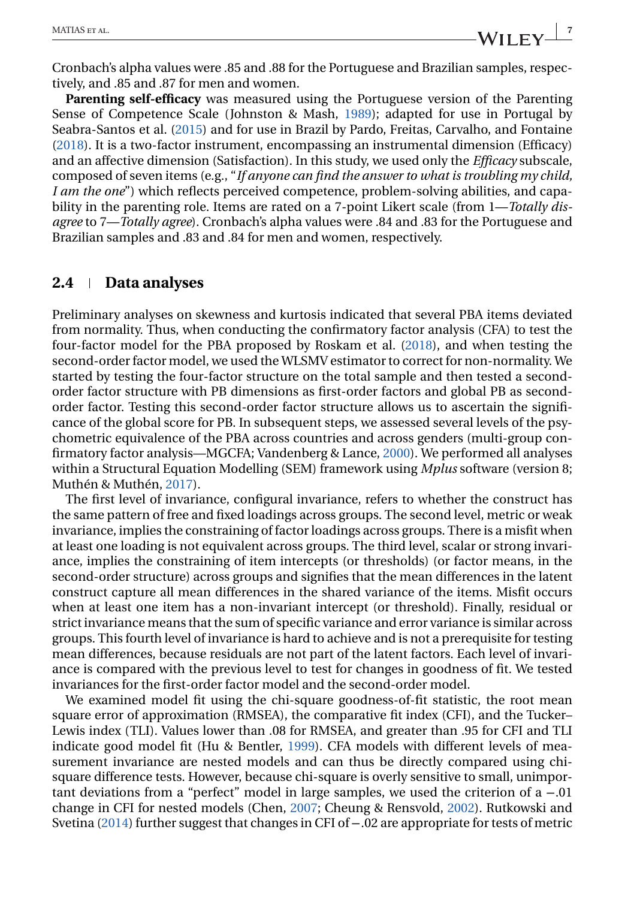Cronbach's alpha values were .85 and .88 for the Portuguese and Brazilian samples, respectively, and .85 and .87 for men and women.

**Parenting self-efficacy** was measured using the Portuguese version of the Parenting Sense of Competence Scale (Johnston & Mash, [1989\)](#page-14-0); adapted for use in Portugal by Seabra-Santos et al. [\(2015\)](#page-15-0) and for use in Brazil by Pardo, Freitas, Carvalho, and Fontaine [\(2018\)](#page-15-0). It is a two-factor instrument, encompassing an instrumental dimension (Efficacy) and an affective dimension (Satisfaction). In this study, we used only the *Efficacy* subscale, composed of seven items (e.g., "*If anyone can find the answer to what is troubling my child, I am the one*") which reflects perceived competence, problem-solving abilities, and capability in the parenting role. Items are rated on a 7-point Likert scale (from 1—*Totally disagree* to 7—*Totally agree*). Cronbach's alpha values were .84 and .83 for the Portuguese and Brazilian samples and .83 and .84 for men and women, respectively.

#### **2.4 Data analyses**

Preliminary analyses on skewness and kurtosis indicated that several PBA items deviated from normality. Thus, when conducting the confirmatory factor analysis (CFA) to test the four-factor model for the PBA proposed by Roskam et al. [\(2018\)](#page-15-0), and when testing the second-order factor model, we used the WLSMV estimator to correct for non-normality. We started by testing the four-factor structure on the total sample and then tested a secondorder factor structure with PB dimensions as first-order factors and global PB as secondorder factor. Testing this second-order factor structure allows us to ascertain the significance of the global score for PB. In subsequent steps, we assessed several levels of the psychometric equivalence of the PBA across countries and across genders (multi-group confirmatory factor analysis—MGCFA; Vandenberg & Lance, [2000\)](#page-15-0). We performed all analyses within a Structural Equation Modelling (SEM) framework using *Mplus* software (version 8; Muthén & Muthén, [2017\)](#page-14-0).

The first level of invariance, configural invariance, refers to whether the construct has the same pattern of free and fixed loadings across groups. The second level, metric or weak invariance, implies the constraining of factor loadings across groups. There is a misfit when at least one loading is not equivalent across groups. The third level, scalar or strong invariance, implies the constraining of item intercepts (or thresholds) (or factor means, in the second-order structure) across groups and signifies that the mean differences in the latent construct capture all mean differences in the shared variance of the items. Misfit occurs when at least one item has a non-invariant intercept (or threshold). Finally, residual or strict invariance means that the sum of specific variance and error variance is similar across groups. This fourth level of invariance is hard to achieve and is not a prerequisite for testing mean differences, because residuals are not part of the latent factors. Each level of invariance is compared with the previous level to test for changes in goodness of fit. We tested invariances for the first-order factor model and the second-order model.

We examined model fit using the chi-square goodness-of-fit statistic, the root mean square error of approximation (RMSEA), the comparative fit index (CFI), and the Tucker– Lewis index (TLI). Values lower than .08 for RMSEA, and greater than .95 for CFI and TLI indicate good model fit (Hu & Bentler, [1999\)](#page-14-0). CFA models with different levels of measurement invariance are nested models and can thus be directly compared using chisquare difference tests. However, because chi-square is overly sensitive to small, unimportant deviations from a "perfect" model in large samples, we used the criterion of a −.01 change in CFI for nested models (Chen, [2007;](#page-13-0) Cheung & Rensvold, [2002\)](#page-13-0). Rutkowski and Svetina [\(2014\)](#page-15-0) further suggest that changes in CFI of −.02 are appropriate for tests of metric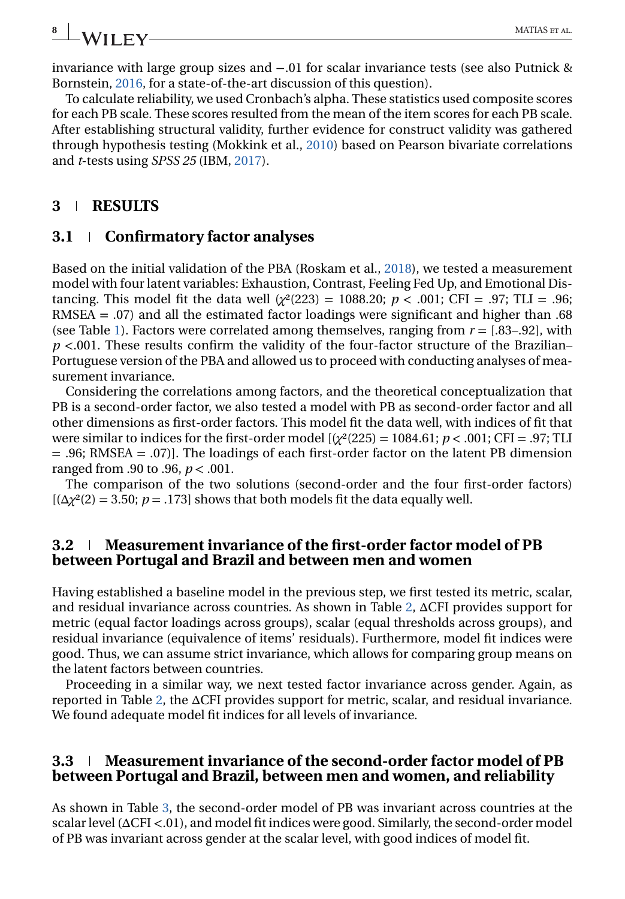invariance with large group sizes and −.01 for scalar invariance tests (see also Putnick & Bornstein, [2016,](#page-15-0) for a state-of-the-art discussion of this question).

To calculate reliability, we used Cronbach's alpha. These statistics used composite scores for each PB scale. These scores resulted from the mean of the item scores for each PB scale. After establishing structural validity, further evidence for construct validity was gathered through hypothesis testing (Mokkink et al., [2010\)](#page-14-0) based on Pearson bivariate correlations and *t*-tests using *SPSS 25* (IBM, [2017\)](#page-14-0).

#### **3 RESULTS**

### **3.1 Confirmatory factor analyses**

Based on the initial validation of the PBA (Roskam et al., [2018\)](#page-15-0), we tested a measurement model with four latent variables: Exhaustion, Contrast, Feeling Fed Up, and Emotional Distancing. This model fit the data well ( $χ²(223) = 1088.20$ ;  $p < .001$ ; CFI = .97; TLI = .96; RMSEA  $=$  .07) and all the estimated factor loadings were significant and higher than .68 (see Table [1\)](#page-8-0). Factors were correlated among themselves, ranging from  $r = 0.83 - 0.92$ , with  $p$  <.001. These results confirm the validity of the four-factor structure of the Brazilian– Portuguese version of the PBA and allowed us to proceed with conducting analyses of measurement invariance.

Considering the correlations among factors, and the theoretical conceptualization that PB is a second-order factor, we also tested a model with PB as second-order factor and all other dimensions as first-order factors. This model fit the data well, with indices of fit that were similar to indices for the first-order model  $[(\chi^2(225) = 1084.61; p < .001; CFI = .97; TLI]$ = .96; RMSEA = .07)]. The loadings of each first-order factor on the latent PB dimension ranged from .90 to .96, *p* < .001.

The comparison of the two solutions (second-order and the four first-order factors)  $[(\Delta \chi^2(2) = 3.50; p = .173]$  shows that both models fit the data equally well.

#### **3.2 Measurement invariance of the first-order factor model of PB between Portugal and Brazil and between men and women**

Having established a baseline model in the previous step, we first tested its metric, scalar, and residual invariance across countries. As shown in Table [2,](#page-9-0) ΔCFI provides support for metric (equal factor loadings across groups), scalar (equal thresholds across groups), and residual invariance (equivalence of items' residuals). Furthermore, model fit indices were good. Thus, we can assume strict invariance, which allows for comparing group means on the latent factors between countries.

Proceeding in a similar way, we next tested factor invariance across gender. Again, as reported in Table [2,](#page-9-0) the ΔCFI provides support for metric, scalar, and residual invariance. We found adequate model fit indices for all levels of invariance.

#### **3.3 Measurement invariance of the second-order factor model of PB between Portugal and Brazil, between men and women, and reliability**

As shown in Table [3,](#page-9-0) the second-order model of PB was invariant across countries at the scalar level (ΔCFI <.01), and model fit indices were good. Similarly, the second-order model of PB was invariant across gender at the scalar level, with good indices of model fit.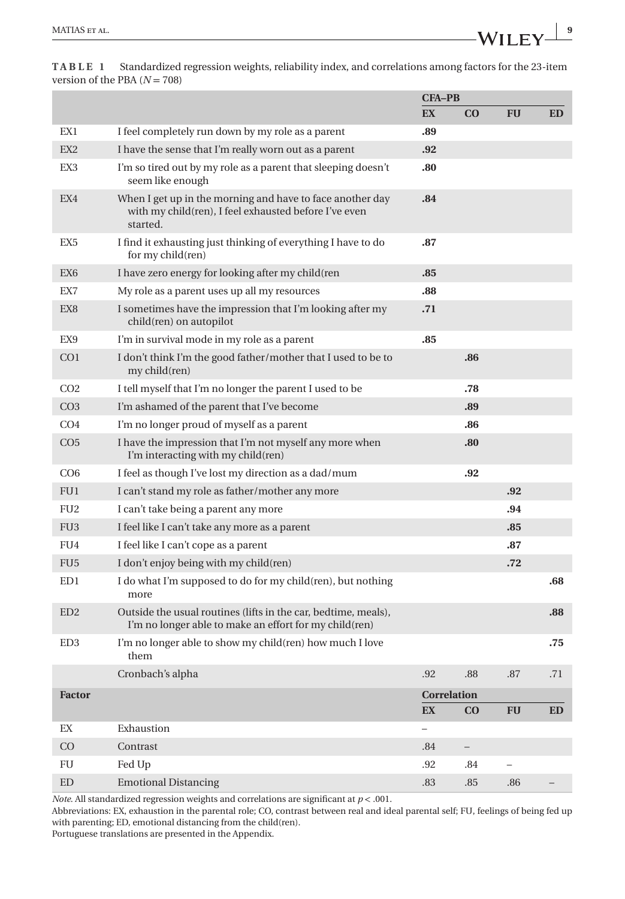|                            |                                                                                                                                | <b>CFA-PB</b>            |         |           |           |  |  |
|----------------------------|--------------------------------------------------------------------------------------------------------------------------------|--------------------------|---------|-----------|-----------|--|--|
|                            |                                                                                                                                | <b>EX</b>                | CO      | <b>FU</b> | <b>ED</b> |  |  |
| EX1                        | I feel completely run down by my role as a parent                                                                              | .89                      |         |           |           |  |  |
| EX <sub>2</sub>            | I have the sense that I'm really worn out as a parent                                                                          | .92                      |         |           |           |  |  |
| EX3                        | I'm so tired out by my role as a parent that sleeping doesn't<br>seem like enough                                              | .80                      |         |           |           |  |  |
| EX4                        | When I get up in the morning and have to face another day<br>with my child(ren), I feel exhausted before I've even<br>started. | .84                      |         |           |           |  |  |
| EX <sub>5</sub>            | I find it exhausting just thinking of everything I have to do<br>for my child(ren)                                             | .87                      |         |           |           |  |  |
| EX <sub>6</sub>            | I have zero energy for looking after my child (ren                                                                             | .85                      |         |           |           |  |  |
| EX7                        | My role as a parent uses up all my resources                                                                                   | .88                      |         |           |           |  |  |
| EX8                        | I sometimes have the impression that I'm looking after my<br>child(ren) on autopilot                                           | .71                      |         |           |           |  |  |
| EX9                        | I'm in survival mode in my role as a parent                                                                                    | .85                      |         |           |           |  |  |
| CO <sub>1</sub>            | I don't think I'm the good father/mother that I used to be to<br>my child(ren)                                                 |                          | .86     |           |           |  |  |
| CO <sub>2</sub>            | I tell myself that I'm no longer the parent I used to be                                                                       |                          | .78     |           |           |  |  |
| CO <sub>3</sub>            | I'm ashamed of the parent that I've become                                                                                     |                          | .89     |           |           |  |  |
| CO <sub>4</sub>            | I'm no longer proud of myself as a parent                                                                                      |                          | .86     |           |           |  |  |
| CO <sub>5</sub>            | I have the impression that I'm not myself any more when<br>I'm interacting with my child(ren)                                  |                          | .80     |           |           |  |  |
| CO <sub>6</sub>            | I feel as though I've lost my direction as a dad/mum                                                                           |                          | .92     |           |           |  |  |
| FU1                        | I can't stand my role as father/mother any more                                                                                |                          |         | .92       |           |  |  |
| FU <sub>2</sub>            | I can't take being a parent any more                                                                                           |                          |         | .94       |           |  |  |
| FU <sub>3</sub>            | I feel like I can't take any more as a parent                                                                                  |                          |         | .85       |           |  |  |
| FU4                        | I feel like I can't cope as a parent                                                                                           |                          |         | .87       |           |  |  |
| FU <sub>5</sub>            | I don't enjoy being with my child (ren)                                                                                        |                          |         | .72       |           |  |  |
| ED1                        | I do what I'm supposed to do for my child(ren), but nothing<br>more                                                            |                          |         |           | .68       |  |  |
| ED2                        | Outside the usual routines (lifts in the car, bedtime, meals),<br>I'm no longer able to make an effort for my child(ren)       |                          |         |           | .88       |  |  |
| ED <sub>3</sub>            | I'm no longer able to show my child(ren) how much I love<br>them                                                               |                          |         |           | .75       |  |  |
|                            | Cronbach's alpha                                                                                                               | .92                      | .88     | .87       | .71       |  |  |
| <b>Factor</b>              |                                                                                                                                | <b>Correlation</b>       |         |           |           |  |  |
|                            |                                                                                                                                | EX                       | CO      | <b>FU</b> | <b>ED</b> |  |  |
| EX                         | Exhaustion                                                                                                                     | $\overline{\phantom{0}}$ |         |           |           |  |  |
| CO                         | Contrast                                                                                                                       | $.84\,$                  |         |           |           |  |  |
| FU                         | Fed Up                                                                                                                         | .92                      | $.84\,$ |           |           |  |  |
| $\mathop{\rm ED}\nolimits$ | <b>Emotional Distancing</b>                                                                                                    | .83                      | $.85\,$ | .86       |           |  |  |

<span id="page-8-0"></span>**TABLE 1** Standardized regression weights, reliability index, and correlations among factors for the 23-item version of the PBA  $(N = 708)$ 

*Note*. All standardized regression weights and correlations are significant at *p* < .001.

Abbreviations: EX, exhaustion in the parental role; CO, contrast between real and ideal parental self; FU, feelings of being fed up with parenting; ED, emotional distancing from the child(ren).

Portuguese translations are presented in the Appendix.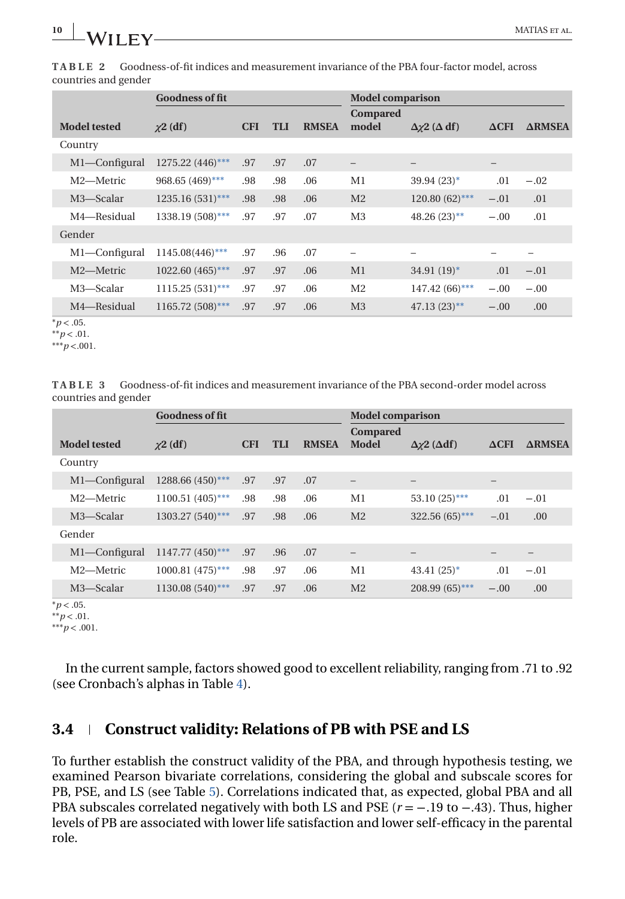|                        | <b>Goodness of fit</b> |            |            |              | <b>Model comparison</b>  |                                |              |                   |
|------------------------|------------------------|------------|------------|--------------|--------------------------|--------------------------------|--------------|-------------------|
| <b>Model tested</b>    | $\chi$ 2 (df)          | <b>CFI</b> | <b>TLI</b> | <b>RMSEA</b> | <b>Compared</b><br>model | $\Delta \chi$ 2 ( $\Delta$ df) | $\Delta$ CFI | $\triangle$ RMSEA |
| Country                |                        |            |            |              |                          |                                |              |                   |
| M1-Configural          | 1275.22 (446)***       | .97        | .97        | .07          |                          |                                | -            |                   |
| M2-Metric              | $968.65(469)$ ***      | .98        | .98        | .06          | M1                       | $39.94(23)*$                   | .01          | $-.02$            |
| M3-Scalar              | $1235.16(531)$ ***     | .98        | .98        | .06          | M <sub>2</sub>           | $120.80(62)$ ***               | $-.01$       | .01               |
| M4-Residual            | 1338.19 (508)***       | .97        | .97        | .07          | M <sub>3</sub>           | $48.26(23)$ **                 | $-.00$       | .01               |
| Gender                 |                        |            |            |              |                          |                                |              |                   |
| M1-Configural          | $1145.08(446)$ ***     | .97        | .96        | .07          | -                        | -                              | -            |                   |
| M2-Metric              | $1022.60(465)$ ***     | .97        | .97        | .06          | M1                       | $34.91(19)^*$                  | .01          | $-.01$            |
| M <sub>3</sub> -Scalar | $1115.25(531)$ ***     | .97        | .97        | .06          | M <sub>2</sub>           | 147.42 (66)***                 | $-.00$       | $-.00$            |
| M4-Residual            | $1165.72(508)$ ***     | .97        | .97        | .06          | M <sub>3</sub>           | $47.13(23)$ **                 | $-.00$       | .00               |

<span id="page-9-0"></span>**TABLE 2** Goodness-of-fit indices and measurement invariance of the PBA four-factor model, across countries and gender

 $*p$  < .05.

\*\**p* < .01.

\*\*\**p* <.001.

**TABLE 3** Goodness-of-fit indices and measurement invariance of the PBA second-order model across countries and gender

| <b>Goodness of fit</b> |                    |            |     |              | <b>Model comparison</b>         |                                 |                   |                   |
|------------------------|--------------------|------------|-----|--------------|---------------------------------|---------------------------------|-------------------|-------------------|
| <b>Model tested</b>    | $\chi$ 2 (df)      | <b>CFI</b> | TLI | <b>RMSEA</b> | <b>Compared</b><br><b>Model</b> | $\Delta \chi$ 2 ( $\Delta df$ ) | $\Delta$ CFI      | $\triangle$ RMSEA |
| Country                |                    |            |     |              |                                 |                                 |                   |                   |
| M1—Configural          | 1288.66 (450)***   | .97        | .97 | .07          | $\overline{\phantom{0}}$        | $\qquad \qquad -$               | $\qquad \qquad -$ |                   |
| M2-Metric              | $1100.51(405)$ *** | .98        | .98 | .06          | M1                              | $53.10(25)$ ***                 | .01               | $-.01$            |
| M <sub>3</sub> -Scalar | 1303.27 (540)***   | .97        | .98 | .06          | M <sub>2</sub>                  | $322.56(65)$ ***                | $-.01$            | .00               |
| Gender                 |                    |            |     |              |                                 |                                 |                   |                   |
| M1—Configural          | $1147.77(450)$ *** | .97        | .96 | .07          |                                 |                                 |                   |                   |
| M2-Metric              | $1000.81(475)$ *** | .98        | .97 | .06          | M1                              | $43.41(25)^*$                   | .01               | $-.01$            |
| M3—Scalar              | $1130.08(540)$ *** | .97        | .97 | .06          | M <sub>2</sub>                  | $208.99(65)$ ***                | $-.00$            | .00               |

 $*p < .05$ .

 $*^*p < .01$ . \*\*\**p* < .001.

In the current sample, factors showed good to excellent reliability, ranging from .71 to .92 (see Cronbach's alphas in Table [4\)](#page-10-0).

## **3.4 Construct validity: Relations of PB with PSE and LS**

To further establish the construct validity of the PBA, and through hypothesis testing, we examined Pearson bivariate correlations, considering the global and subscale scores for PB, PSE, and LS (see Table [5\)](#page-10-0). Correlations indicated that, as expected, global PBA and all PBA subscales correlated negatively with both LS and PSE (*r* = −.19 to −.43). Thus, higher levels of PB are associated with lower life satisfaction and lower self-efficacy in the parental role.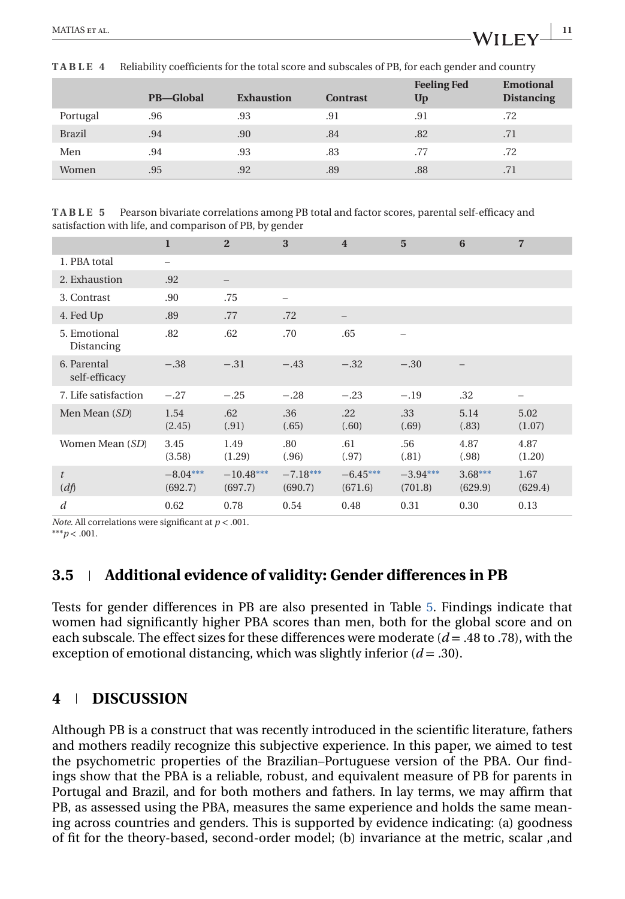|               | <b>PB-Global</b> | <b>Exhaustion</b> | <b>Contrast</b> | <b>Feeling Fed</b><br>Up | <b>Emotional</b><br><b>Distancing</b> |
|---------------|------------------|-------------------|-----------------|--------------------------|---------------------------------------|
| Portugal      | .96              | .93               | .91             | .91                      | .72                                   |
| <b>Brazil</b> | .94              | .90               | .84             | .82                      | .71                                   |
| Men           | .94              | .93               | .83             | .77                      | .72                                   |
| Women         | .95              | .92               | .89             | .88                      | .71                                   |

<span id="page-10-0"></span>**TABLE 4** Reliability coefficients for the total score and subscales of PB, for each gender and country

| <b>TABLE 5</b> Pearson bivariate correlations among PB total and factor scores, parental self-efficacy and |  |
|------------------------------------------------------------------------------------------------------------|--|
| satisfaction with life, and comparison of PB, by gender                                                    |  |

|                              | 1                     | $\overline{2}$         | 3                        | $\overline{4}$        | $\overline{5}$        | 6                    | $\overline{7}$  |
|------------------------------|-----------------------|------------------------|--------------------------|-----------------------|-----------------------|----------------------|-----------------|
| 1. PBA total                 | -                     |                        |                          |                       |                       |                      |                 |
| 2. Exhaustion                | .92                   |                        |                          |                       |                       |                      |                 |
| 3. Contrast                  | .90                   | .75                    | $\overline{\phantom{m}}$ |                       |                       |                      |                 |
| 4. Fed Up                    | .89                   | .77                    | .72                      |                       |                       |                      |                 |
| 5. Emotional<br>Distancing   | .82                   | .62                    | .70                      | .65                   |                       |                      |                 |
| 6. Parental<br>self-efficacy | $-.38$                | $-.31$                 | $-.43$                   | $-.32$                | $-.30$                |                      |                 |
| 7. Life satisfaction         | $-.27$                | $-.25$                 | $-.28$                   | $-.23$                | $-.19$                | .32                  |                 |
| Men Mean (SD)                | 1.54<br>(2.45)        | .62<br>(.91)           | .36<br>(.65)             | .22<br>(.60)          | .33<br>(.69)          | 5.14<br>(.83)        | 5.02<br>(1.07)  |
| Women Mean (SD)              | 3.45<br>(3.58)        | 1.49<br>(1.29)         | .80<br>(.96)             | .61<br>(.97)          | .56<br>(.81)          | 4.87<br>(.98)        | 4.87<br>(1.20)  |
| $\mathfrak{t}$<br>$(d\beta)$ | $-8.04***$<br>(692.7) | $-10.48***$<br>(697.7) | $-7.18***$<br>(690.7)    | $-6.45***$<br>(671.6) | $-3.94***$<br>(701.8) | $3.68***$<br>(629.9) | 1.67<br>(629.4) |
| $\boldsymbol{d}$             | 0.62                  | 0.78                   | 0.54                     | 0.48                  | 0.31                  | 0.30                 | 0.13            |

*Note*. All correlations were significant at *p* < .001.

\*\*\**p* < .001.

## **3.5 Additional evidence of validity: Gender differences in PB**

Tests for gender differences in PB are also presented in Table 5. Findings indicate that women had significantly higher PBA scores than men, both for the global score and on each subscale. The effect sizes for these differences were moderate  $(d = .48$  to .78), with the exception of emotional distancing, which was slightly inferior (*d* = .30).

## **4 DISCUSSION**

Although PB is a construct that was recently introduced in the scientific literature, fathers and mothers readily recognize this subjective experience. In this paper, we aimed to test the psychometric properties of the Brazilian–Portuguese version of the PBA. Our findings show that the PBA is a reliable, robust, and equivalent measure of PB for parents in Portugal and Brazil, and for both mothers and fathers. In lay terms, we may affirm that PB, as assessed using the PBA, measures the same experience and holds the same meaning across countries and genders. This is supported by evidence indicating: (a) goodness of fit for the theory-based, second-order model; (b) invariance at the metric, scalar ,and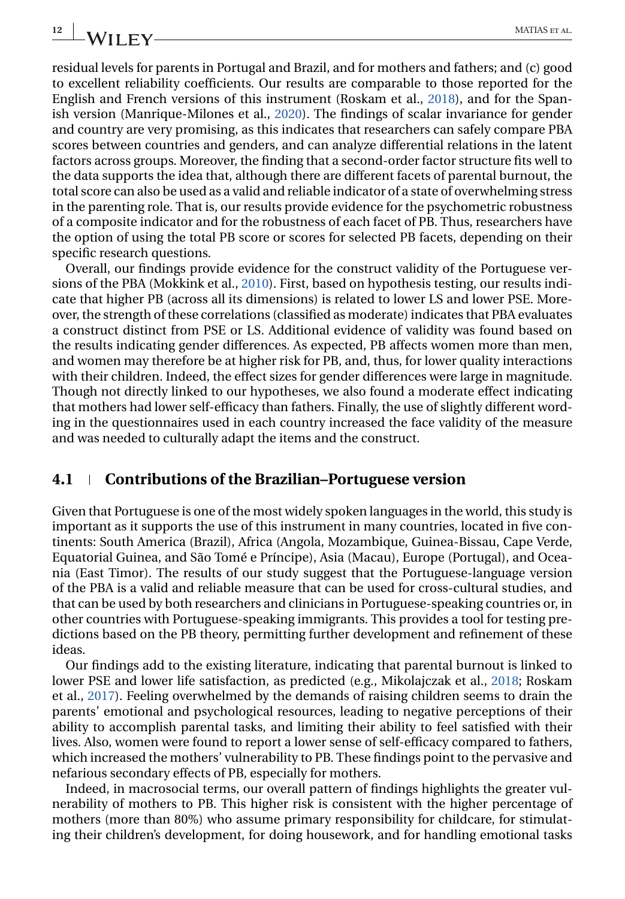residual levels for parents in Portugal and Brazil, and for mothers and fathers; and (c) good to excellent reliability coefficients. Our results are comparable to those reported for the English and French versions of this instrument (Roskam et al., [2018\)](#page-15-0), and for the Spanish version (Manrique-Milones et al., [2020\)](#page-14-0). The findings of scalar invariance for gender and country are very promising, as this indicates that researchers can safely compare PBA scores between countries and genders, and can analyze differential relations in the latent factors across groups. Moreover, the finding that a second-order factor structure fits well to the data supports the idea that, although there are different facets of parental burnout, the total score can also be used as a valid and reliable indicator of a state of overwhelming stress in the parenting role. That is, our results provide evidence for the psychometric robustness of a composite indicator and for the robustness of each facet of PB. Thus, researchers have the option of using the total PB score or scores for selected PB facets, depending on their specific research questions.

Overall, our findings provide evidence for the construct validity of the Portuguese versions of the PBA (Mokkink et al., [2010\)](#page-14-0). First, based on hypothesis testing, our results indicate that higher PB (across all its dimensions) is related to lower LS and lower PSE. Moreover, the strength of these correlations (classified as moderate) indicates that PBA evaluates a construct distinct from PSE or LS. Additional evidence of validity was found based on the results indicating gender differences. As expected, PB affects women more than men, and women may therefore be at higher risk for PB, and, thus, for lower quality interactions with their children. Indeed, the effect sizes for gender differences were large in magnitude. Though not directly linked to our hypotheses, we also found a moderate effect indicating that mothers had lower self-efficacy than fathers. Finally, the use of slightly different wording in the questionnaires used in each country increased the face validity of the measure and was needed to culturally adapt the items and the construct.

#### **4.1 Contributions of the Brazilian–Portuguese version**

Given that Portuguese is one of the most widely spoken languages in the world, this study is important as it supports the use of this instrument in many countries, located in five continents: South America (Brazil), Africa (Angola, Mozambique, Guinea-Bissau, Cape Verde, Equatorial Guinea, and São Tomé e Príncipe), Asia (Macau), Europe (Portugal), and Oceania (East Timor). The results of our study suggest that the Portuguese-language version of the PBA is a valid and reliable measure that can be used for cross-cultural studies, and that can be used by both researchers and clinicians in Portuguese-speaking countries or, in other countries with Portuguese-speaking immigrants. This provides a tool for testing predictions based on the PB theory, permitting further development and refinement of these ideas.

Our findings add to the existing literature, indicating that parental burnout is linked to lower PSE and lower life satisfaction, as predicted (e.g., Mikolajczak et al., [2018;](#page-14-0) Roskam et al., [2017\)](#page-15-0). Feeling overwhelmed by the demands of raising children seems to drain the parents' emotional and psychological resources, leading to negative perceptions of their ability to accomplish parental tasks, and limiting their ability to feel satisfied with their lives. Also, women were found to report a lower sense of self-efficacy compared to fathers, which increased the mothers' vulnerability to PB. These findings point to the pervasive and nefarious secondary effects of PB, especially for mothers.

Indeed, in macrosocial terms, our overall pattern of findings highlights the greater vulnerability of mothers to PB. This higher risk is consistent with the higher percentage of mothers (more than 80%) who assume primary responsibility for childcare, for stimulating their children's development, for doing housework, and for handling emotional tasks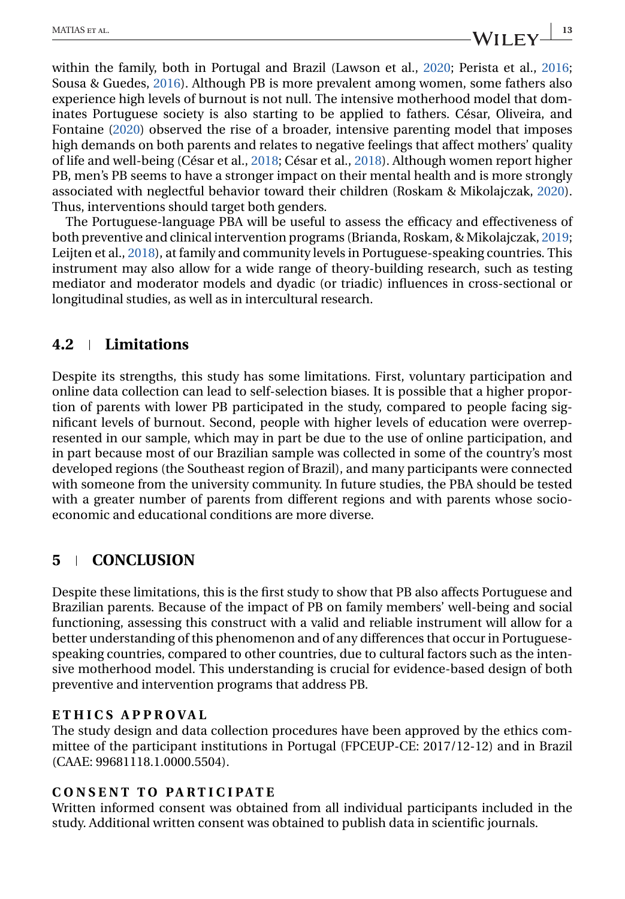within the family, both in Portugal and Brazil (Lawson et al., [2020;](#page-14-0) Perista et al., [2016;](#page-15-0) Sousa & Guedes, [2016\)](#page-15-0). Although PB is more prevalent among women, some fathers also experience high levels of burnout is not null. The intensive motherhood model that dominates Portuguese society is also starting to be applied to fathers. César, Oliveira, and Fontaine [\(2020\)](#page-13-0) observed the rise of a broader, intensive parenting model that imposes high demands on both parents and relates to negative feelings that affect mothers' quality of life and well-being (César et al., [2018;](#page-13-0) César et al., [2018\)](#page-13-0). Although women report higher PB, men's PB seems to have a stronger impact on their mental health and is more strongly associated with neglectful behavior toward their children (Roskam & Mikolajczak, [2020\)](#page-15-0). Thus, interventions should target both genders.

The Portuguese-language PBA will be useful to assess the efficacy and effectiveness of both preventive and clinical intervention programs (Brianda, Roskam, & Mikolajczak, [2019;](#page-13-0) Leijten et al., [2018\)](#page-14-0), at family and community levels in Portuguese-speaking countries. This instrument may also allow for a wide range of theory-building research, such as testing mediator and moderator models and dyadic (or triadic) influences in cross-sectional or longitudinal studies, as well as in intercultural research.

## **4.2 Limitations**

Despite its strengths, this study has some limitations. First, voluntary participation and online data collection can lead to self-selection biases. It is possible that a higher proportion of parents with lower PB participated in the study, compared to people facing significant levels of burnout. Second, people with higher levels of education were overrepresented in our sample, which may in part be due to the use of online participation, and in part because most of our Brazilian sample was collected in some of the country's most developed regions (the Southeast region of Brazil), and many participants were connected with someone from the university community. In future studies, the PBA should be tested with a greater number of parents from different regions and with parents whose socioeconomic and educational conditions are more diverse.

## **5 CONCLUSION**

Despite these limitations, this is the first study to show that PB also affects Portuguese and Brazilian parents. Because of the impact of PB on family members' well-being and social functioning, assessing this construct with a valid and reliable instrument will allow for a better understanding of this phenomenon and of any differences that occur in Portuguesespeaking countries, compared to other countries, due to cultural factors such as the intensive motherhood model. This understanding is crucial for evidence-based design of both preventive and intervention programs that address PB.

#### **ETHICS APPROVAL**

The study design and data collection procedures have been approved by the ethics committee of the participant institutions in Portugal (FPCEUP-CE: 2017/12-12) and in Brazil (CAAE: 99681118.1.0000.5504).

#### **CONSENT TO PARTICIPATE**

Written informed consent was obtained from all individual participants included in the study. Additional written consent was obtained to publish data in scientific journals.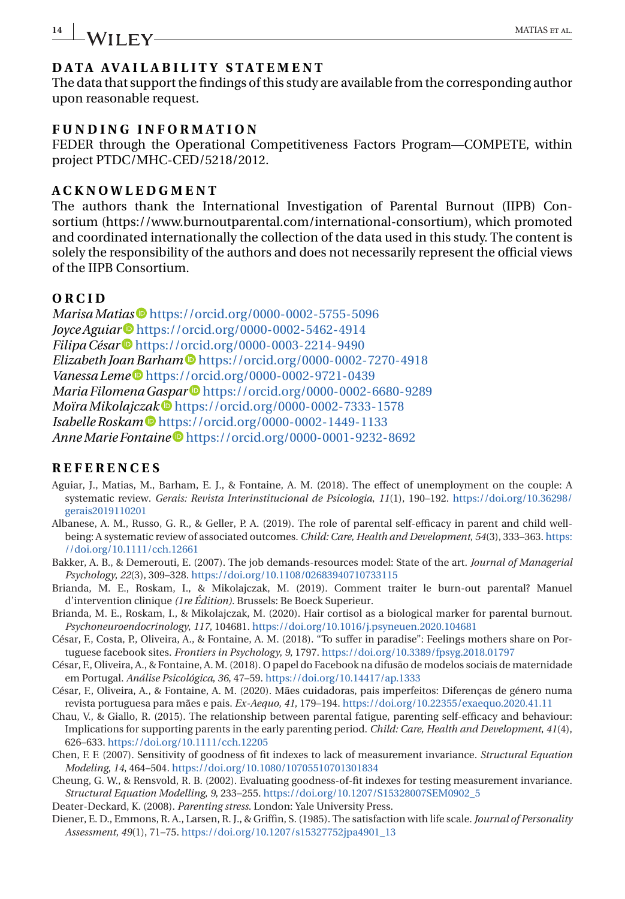# <span id="page-13-0"></span>**14** MATIAS ET AL.

#### **DATA AVAILABILITY STATEMENT**

The data that support the findings of this study are available from the corresponding author upon reasonable request.

#### **FUNDING INFORMATION**

FEDER through the Operational Competitiveness Factors Program—COMPETE, within project PTDC/MHC-CED/5218/2012.

#### **ACKNOWLEDGMENT**

The authors thank the International Investigation of Parental Burnout (IIPB) Consortium (https://www.burnoutparental.com/international-consortium), which promoted and coordinated internationally the collection of the data used in this study. The content is solely the responsibility of the authors and does not necessarily represent the official views of the IIPB Consortium.

#### **ORCID**

*Marisa Matias* • <https://orcid.org/0000-0002-5755-5096> *Joyce Aguiar* • <https://orcid.org/0000-0002-5462-4914> *Filipa César* • <https://orcid.org/0000-0003-2214-9490> *Elizabeth Joan Barham* <https://orcid.org/0000-0002-7270-4918> *Vanessa Leme* <https://orcid.org/0000-0002-9721-0439> *Maria Filomena Gaspar* • <https://orcid.org/0000-0002-6680-9289> *Moïra Mikolaiczak* <https://orcid.org/0000-0002-7333-1578> *Isabelle Roskam* <https://orcid.org/0000-0002-1449-1133> *AnneMarie Fontaine* <https://orcid.org/0000-0001-9232-8692>

#### **REFERENCES**

- Aguiar, J., Matias, M., Barham, E. J., & Fontaine, A. M. (2018). The effect of unemployment on the couple: A systematic review. *Gerais: Revista Interinstitucional de Psicologia*, *11*(1), 190–192. [https://doi.org/10.36298/](https://doi.org/10.36298/gerais2019110201) [gerais2019110201](https://doi.org/10.36298/gerais2019110201)
- Albanese, A. M., Russo, G. R., & Geller, P. A. (2019). The role of parental self-efficacy in parent and child wellbeing: A systematic review of associated outcomes. *Child: Care, Health and Development*, *54*(3), 333–363. [https:](https://doi.org/10.1111/cch.12661) [//doi.org/10.1111/cch.12661](https://doi.org/10.1111/cch.12661)
- Bakker, A. B., & Demerouti, E. (2007). The job demands-resources model: State of the art. *Journal of Managerial Psychology*, *22*(3), 309–328. <https://doi.org/10.1108/02683940710733115>
- Brianda, M. E., Roskam, I., & Mikolajczak, M. (2019). Comment traiter le burn-out parental? Manuel d'intervention clinique *(1re Édition)*. Brussels: Be Boeck Superieur.
- Brianda, M. E., Roskam, I., & Mikolajczak, M. (2020). Hair cortisol as a biological marker for parental burnout. *Psychoneuroendocrinology*, *117*, 104681. <https://doi.org/10.1016/j.psyneuen.2020.104681>
- César, F., Costa, P., Oliveira, A., & Fontaine, A. M. (2018). "To suffer in paradise": Feelings mothers share on Portuguese facebook sites. *Frontiers in Psychology*, *9*, 1797. <https://doi.org/10.3389/fpsyg.2018.01797>
- César, F., Oliveira, A., & Fontaine, A. M. (2018). O papel do Facebook na difusão de modelos sociais de maternidade em Portugal. *Análise Psicológica*, *36*, 47–59. <https://doi.org/10.14417/ap.1333>
- César, F., Oliveira, A., & Fontaine, A. M. (2020). Mães cuidadoras, pais imperfeitos: Diferenças de género numa revista portuguesa para mães e pais. *Ex-Aequo*, *41*, 179–194. <https://doi.org/10.22355/exaequo.2020.41.11>
- Chau, V., & Giallo, R. (2015). The relationship between parental fatigue, parenting self-efficacy and behaviour: Implications for supporting parents in the early parenting period. *Child: Care, Health and Development*, *41*(4), 626–633. <https://doi.org/10.1111/cch.12205>
- Chen, F. F. (2007). Sensitivity of goodness of fit indexes to lack of measurement invariance. *Structural Equation Modeling*, *14*, 464–504. <https://doi.org/10.1080/10705510701301834>
- Cheung, G. W., & Rensvold, R. B. (2002). Evaluating goodness-of-fit indexes for testing measurement invariance. *Structural Equation Modelling*, *9*, 233–255. [https://doi.org/10.1207/S15328007SEM0902\\_5](https://doi.org/10.1207/S15328007SEM0902_5)
- Deater-Deckard, K. (2008). *Parenting stress*. London: Yale University Press.
- Diener, E. D., Emmons, R. A., Larsen, R. J., & Griffin, S. (1985). The satisfaction with life scale. *Journal of Personality Assessment*, *49*(1), 71–75. [https://doi.org/10.1207/s15327752jpa4901\\_13](https://doi.org/10.1207/s15327752jpa4901_13)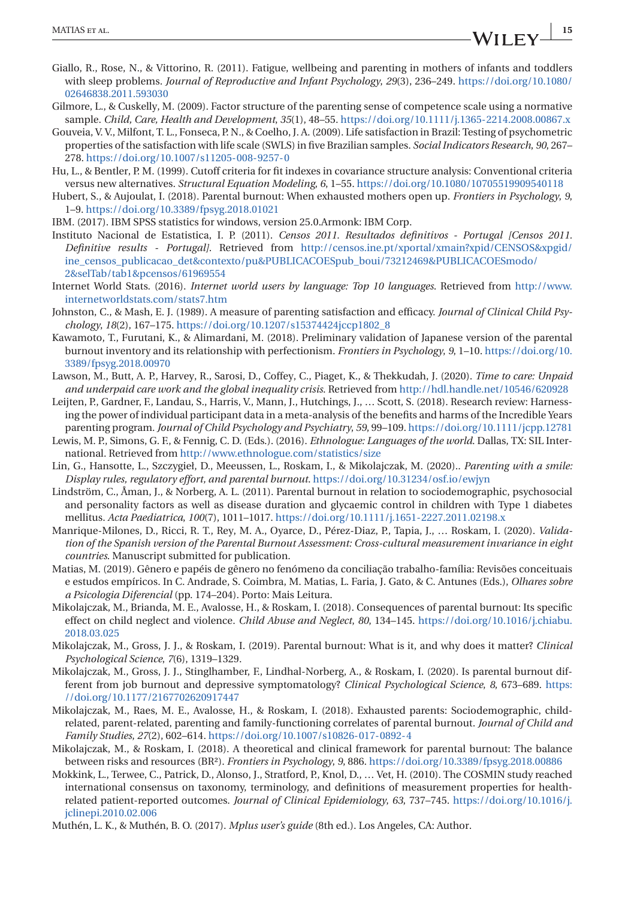- <span id="page-14-0"></span>Giallo, R., Rose, N., & Vittorino, R. (2011). Fatigue, wellbeing and parenting in mothers of infants and toddlers with sleep problems. *Journal of Reproductive and Infant Psychology*, *29*(3), 236–249. [https://doi.org/10.1080/](https://doi.org/10.1080/02646838.2011.593030) [02646838.2011.593030](https://doi.org/10.1080/02646838.2011.593030)
- Gilmore, L., & Cuskelly, M. (2009). Factor structure of the parenting sense of competence scale using a normative sample. *Child, Care, Health and Development*, *35*(1), 48–55. <https://doi.org/10.1111/j.1365-2214.2008.00867.x>
- Gouveia, V. V., Milfont, T. L., Fonseca, P. N., & Coelho, J. A. (2009). Life satisfaction in Brazil: Testing of psychometric properties of the satisfaction with life scale (SWLS) in five Brazilian samples. *Social Indicators Research*, *90*, 267– 278. <https://doi.org/10.1007/s11205-008-9257-0>
- Hu, L., & Bentler, P. M. (1999). Cutoff criteria for fit indexes in covariance structure analysis: Conventional criteria versus new alternatives. *Structural Equation Modeling*, *6*, 1–55. <https://doi.org/10.1080/10705519909540118>
- Hubert, S., & Aujoulat, I. (2018). Parental burnout: When exhausted mothers open up. *Frontiers in Psychology*, *9*, 1–9. <https://doi.org/10.3389/fpsyg.2018.01021>
- IBM. (2017). IBM SPSS statistics for windows, version 25.0.Armonk: IBM Corp.
- Instituto Nacional de Estatistica, I. P. (2011). *Censos 2011. Resultados definitivos Portugal [Censos 2011. Definitive results - Portugal]*. Retrieved from [http://censos.ine.pt/xportal/xmain?xpid/CENSOS&xpgid/](http://censos.ine.pt/xportal/xmain?xpid/CENSOS&xpgid/ine_censos_publicacao_det&contexto/pu&PUBLICACOESpub_boui/73212469&PUBLICACOESmodo/2&selTab/tab1&pcensos/61969554) [ine\\_censos\\_publicacao\\_det&contexto/pu&PUBLICACOESpub\\_boui/73212469&PUBLICACOESmodo/](http://censos.ine.pt/xportal/xmain?xpid/CENSOS&xpgid/ine_censos_publicacao_det&contexto/pu&PUBLICACOESpub_boui/73212469&PUBLICACOESmodo/2&selTab/tab1&pcensos/61969554) [2&selTab/tab1&pcensos/61969554](http://censos.ine.pt/xportal/xmain?xpid/CENSOS&xpgid/ine_censos_publicacao_det&contexto/pu&PUBLICACOESpub_boui/73212469&PUBLICACOESmodo/2&selTab/tab1&pcensos/61969554)
- Internet World Stats. (2016). *Internet world users by language: Top 10 languages*. Retrieved from [http://www.](http://www.internetworldstats.com/stats7.htm) [internetworldstats.com/stats7.htm](http://www.internetworldstats.com/stats7.htm)
- Johnston, C., & Mash, E. J. (1989). A measure of parenting satisfaction and efficacy. *Journal of Clinical Child Psychology*, *18*(2), 167–175. [https://doi.org/10.1207/s15374424jccp1802\\_8](https://doi.org/10.1207/s15374424jccp1802_8)
- Kawamoto, T., Furutani, K., & Alimardani, M. (2018). Preliminary validation of Japanese version of the parental burnout inventory and its relationship with perfectionism. *Frontiers in Psychology*, *9*, 1–10. [https://doi.org/10.](https://doi.org/10.3389/fpsyg.2018.00970) [3389/fpsyg.2018.00970](https://doi.org/10.3389/fpsyg.2018.00970)
- Lawson, M., Butt, A. P., Harvey, R., Sarosi, D., Coffey, C., Piaget, K., & Thekkudah, J. (2020). *Time to care: Unpaid and underpaid care work and the global inequality crisis*. Retrieved from <http://hdl.handle.net/10546/620928>
- Leijten, P., Gardner, F., Landau, S., Harris, V., Mann, J., Hutchings, J., … Scott, S. (2018). Research review: Harnessing the power of individual participant data in a meta-analysis of the benefits and harms of the Incredible Years parenting program. *Journal of Child Psychology and Psychiatry*, *59*, 99–109. <https://doi.org/10.1111/jcpp.12781>
- Lewis, M. P., Simons, G. F., & Fennig, C. D. (Eds.). (2016). *Ethnologue: Languages of the world*. Dallas, TX: SIL International. Retrieved from <http://www.ethnologue.com/statistics/size>
- Lin, G., Hansotte, L., Szczygieł, D., Meeussen, L., Roskam, I., & Mikolajczak, M. (2020).. *Parenting with a smile: Display rules, regulatory effort, and parental burnout*. <https://doi.org/10.31234/osf.io/ewjyn>
- Lindström, C., Åman, J., & Norberg, A. L. (2011). Parental burnout in relation to sociodemographic, psychosocial and personality factors as well as disease duration and glycaemic control in children with Type 1 diabetes mellitus. *Acta Paediatrica*, *100*(7), 1011–1017. <https://doi.org/10.1111/j.1651-2227.2011.02198.x>
- Manrique-Milones, D., Ricci, R. T., Rey, M. A., Oyarce, D., Pérez-Diaz, P., Tapia, J., … Roskam, I. (2020). *Validation of the Spanish version of the Parental Burnout Assessment: Cross-cultural measurement invariance in eight countries*. Manuscript submitted for publication.
- Matias, M. (2019). Gênero e papéis de gênero no fenómeno da conciliação trabalho-família: Revisões conceituais e estudos empíricos. In C. Andrade, S. Coimbra, M. Matias, L. Faria, J. Gato, & C. Antunes (Eds.), *Olhares sobre a Psicologia Diferencial* (pp. 174–204). Porto: Mais Leitura.
- Mikolajczak, M., Brianda, M. E., Avalosse, H., & Roskam, I. (2018). Consequences of parental burnout: Its specific effect on child neglect and violence. *Child Abuse and Neglect*, *80*, 134–145. [https://doi.org/10.1016/j.chiabu.](https://doi.org/10.1016/j.chiabu.2018.03.025) [2018.03.025](https://doi.org/10.1016/j.chiabu.2018.03.025)
- Mikolajczak, M., Gross, J. J., & Roskam, I. (2019). Parental burnout: What is it, and why does it matter? *Clinical Psychological Science*, *7*(6), 1319–1329.
- Mikolajczak, M., Gross, J. J., Stinglhamber, F., Lindhal-Norberg, A., & Roskam, I. (2020). Is parental burnout different from job burnout and depressive symptomatology? *Clinical Psychological Science*, *8*, 673–689. [https:](https://doi.org/10.1177/2167702620917447) [//doi.org/10.1177/2167702620917447](https://doi.org/10.1177/2167702620917447)
- Mikolajczak, M., Raes, M. E., Avalosse, H., & Roskam, I. (2018). Exhausted parents: Sociodemographic, childrelated, parent-related, parenting and family-functioning correlates of parental burnout. *Journal of Child and Family Studies*, *27*(2), 602–614. <https://doi.org/10.1007/s10826-017-0892-4>
- Mikolajczak, M., & Roskam, I. (2018). A theoretical and clinical framework for parental burnout: The balance between risks and resources (BR²). *Frontiers in Psychology*, *9*, 886. <https://doi.org/10.3389/fpsyg.2018.00886>
- Mokkink, L., Terwee, C., Patrick, D., Alonso, J., Stratford, P., Knol, D., … Vet, H. (2010). The COSMIN study reached international consensus on taxonomy, terminology, and definitions of measurement properties for healthrelated patient-reported outcomes. *Journal of Clinical Epidemiology*, *63*, 737–745. [https://doi.org/10.1016/j.](https://doi.org/10.1016/j.jclinepi.2010.02.006) [jclinepi.2010.02.006](https://doi.org/10.1016/j.jclinepi.2010.02.006)
- Muthén, L. K., & Muthén, B. O. (2017). *Mplus user's guide* (8th ed.). Los Angeles, CA: Author.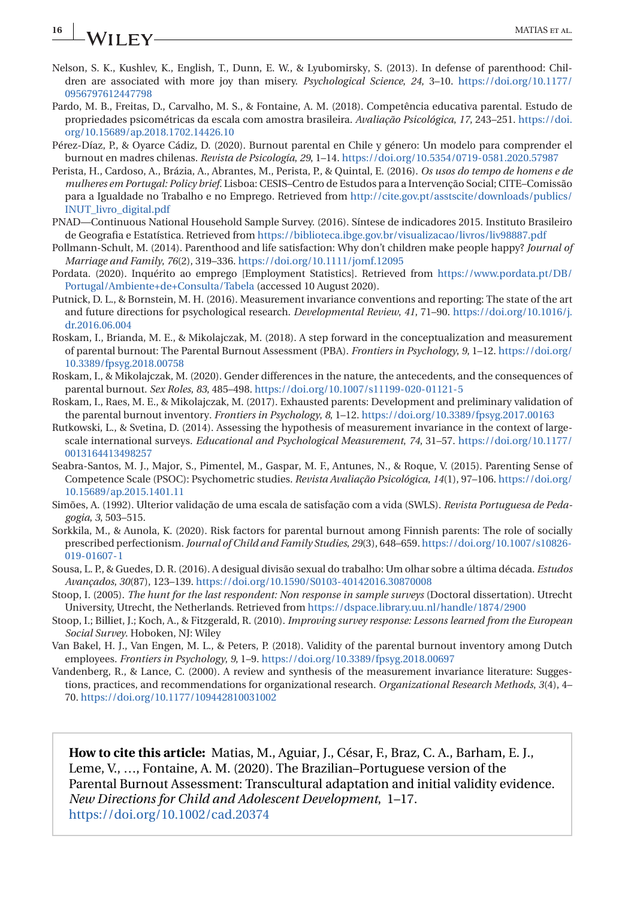## **16 MATIAS ET ALL TO A LET ALL TO A LET ALL**

- Nelson, S. K., Kushlev, K., English, T., Dunn, E. W., & Lyubomirsky, S. (2013). In defense of parenthood: Children are associated with more joy than misery. *Psychological Science*, *24*, 3–10. [https://doi.org/10.1177/](https://doi.org/10.1177/0956797612447798) [0956797612447798](https://doi.org/10.1177/0956797612447798)
- Pardo, M. B., Freitas, D., Carvalho, M. S., & Fontaine, A. M. (2018). Competência educativa parental. Estudo de propriedades psicométricas da escala com amostra brasileira. *Avaliação Psicológica*, *17*, 243–251. [https://doi.](https://doi.org/10.15689/ap.2018.1702.14426.10) [org/10.15689/ap.2018.1702.14426.10](https://doi.org/10.15689/ap.2018.1702.14426.10)
- Pérez-Díaz, P., & Oyarce Cádiz, D. (2020). Burnout parental en Chile y género: Un modelo para comprender el burnout en madres chilenas. *Revista de Psicología*, *29*, 1–14. <https://doi.org/10.5354/0719-0581.2020.57987>
- Perista, H., Cardoso, A., Brázia, A., Abrantes, M., Perista, P., & Quintal, E. (2016). *Os usos do tempo de homens e de mulheres em Portugal: Policy brief*. Lisboa: CESIS–Centro de Estudos para a Intervenção Social; CITE–Comissão para a Igualdade no Trabalho e no Emprego. Retrieved from [http://cite.gov.pt/asstscite/downloads/publics/](http://cite.gov.pt/asstscite/downloads/publics/INUT_livro_digital.pdf) [INUT\\_livro\\_digital.pdf](http://cite.gov.pt/asstscite/downloads/publics/INUT_livro_digital.pdf)
- PNAD—Continuous National Household Sample Survey. (2016). Síntese de indicadores 2015. Instituto Brasileiro de Geografia e Estatística. Retrieved from <https://biblioteca.ibge.gov.br/visualizacao/livros/liv98887.pdf>
- Pollmann-Schult, M. (2014). Parenthood and life satisfaction: Why don't children make people happy? *Journal of Marriage and Family*, *76*(2), 319–336. <https://doi.org/10.1111/jomf.12095>
- Pordata. (2020). Inquérito ao emprego [Employment Statistics]. Retrieved from [https://www.pordata.pt/DB/](https://www.pordata.pt/DB/Portugal/Ambiente+de+Consulta/Tabela) [Portugal/Ambiente+de+Consulta/Tabela](https://www.pordata.pt/DB/Portugal/Ambiente+de+Consulta/Tabela) (accessed 10 August 2020).
- Putnick, D. L., & Bornstein, M. H. (2016). Measurement invariance conventions and reporting: The state of the art and future directions for psychological research. *Developmental Review*, *41*, 71–90. [https://doi.org/10.1016/j.](https://doi.org/10.1016/j.dr.2016.06.004) [dr.2016.06.004](https://doi.org/10.1016/j.dr.2016.06.004)
- Roskam, I., Brianda, M. E., & Mikolajczak, M. (2018). A step forward in the conceptualization and measurement of parental burnout: The Parental Burnout Assessment (PBA). *Frontiers in Psychology*, *9*, 1–12. [https://doi.org/](https://doi.org/10.3389/fpsyg.2018.00758) [10.3389/fpsyg.2018.00758](https://doi.org/10.3389/fpsyg.2018.00758)
- Roskam, I., & Mikolajczak, M. (2020). Gender differences in the nature, the antecedents, and the consequences of parental burnout. *Sex Roles*, *83*, 485–498. <https://doi.org/10.1007/s11199-020-01121-5>
- Roskam, I., Raes, M. E., & Mikolajczak, M. (2017). Exhausted parents: Development and preliminary validation of the parental burnout inventory. *Frontiers in Psychology*, *8*, 1–12. <https://doi.org/10.3389/fpsyg.2017.00163>
- Rutkowski, L., & Svetina, D. (2014). Assessing the hypothesis of measurement invariance in the context of largescale international surveys. *Educational and Psychological Measurement*, *74*, 31–57. [https://doi.org/10.1177/](https://doi.org/10.1177/0013164413498257) [0013164413498257](https://doi.org/10.1177/0013164413498257)
- Seabra-Santos, M. J., Major, S., Pimentel, M., Gaspar, M. F., Antunes, N., & Roque, V. (2015). Parenting Sense of Competence Scale (PSOC): Psychometric studies. *Revista Avaliação Psicológica*, *14*(1), 97–106. [https://doi.org/](https://doi.org/10.15689/ap.2015.1401.11) [10.15689/ap.2015.1401.11](https://doi.org/10.15689/ap.2015.1401.11)
- Simões, A. (1992). Ulterior validação de uma escala de satisfação com a vida (SWLS). *Revista Portuguesa de Pedagogia*, *3*, 503–515.
- Sorkkila, M., & Aunola, K. (2020). Risk factors for parental burnout among Finnish parents: The role of socially prescribed perfectionism. *Journal of Child and Family Studies*, *29*(3), 648–659. [https://doi.org/10.1007/s10826-](https://doi.org/10.1007/s10826-019-01607-1) [019-01607-1](https://doi.org/10.1007/s10826-019-01607-1)
- Sousa, L. P., & Guedes, D. R. (2016). A desigual divisão sexual do trabalho: Um olhar sobre a última década. *Estudos Avançados*, *30*(87), 123–139. <https://doi.org/10.1590/S0103-40142016.30870008>
- Stoop, I. (2005). *The hunt for the last respondent: Non response in sample surveys* (Doctoral dissertation). Utrecht University, Utrecht, the Netherlands. Retrieved from <https://dspace.library.uu.nl/handle/1874/2900>
- Stoop, I.; Billiet, J.; Koch, A., & Fitzgerald, R. (2010). *Improving survey response: Lessons learned from the European Social Survey*. Hoboken, NJ: Wiley
- Van Bakel, H. J., Van Engen, M. L., & Peters, P. (2018). Validity of the parental burnout inventory among Dutch employees. *Frontiers in Psychology*, *9*, 1–9. <https://doi.org/10.3389/fpsyg.2018.00697>
- Vandenberg, R., & Lance, C. (2000). A review and synthesis of the measurement invariance literature: Suggestions, practices, and recommendations for organizational research. *Organizational Research Methods*, *3*(4), 4– 70. <https://doi.org/10.1177/109442810031002>

**How to cite this article:** Matias, M., Aguiar, J., César, F., Braz, C. A., Barham, E. J., Leme, V., …, Fontaine, A. M. (2020). The Brazilian–Portuguese version of the Parental Burnout Assessment: Transcultural adaptation and initial validity evidence. *New Directions for Child and Adolescent Development*, 1–17. <https://doi.org/10.1002/cad.20374>

<span id="page-15-0"></span>